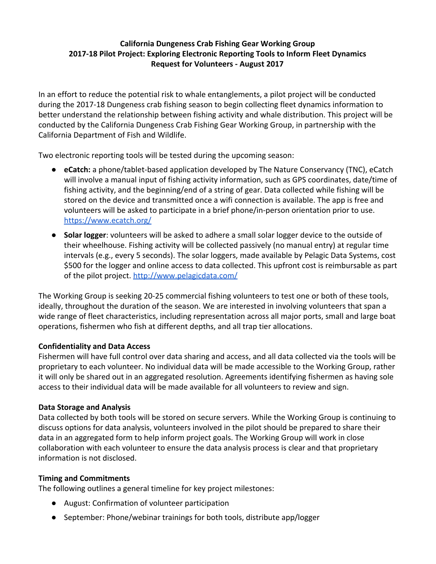# **California Dungeness Crab Fishing Gear Working Group 2017-18 Pilot Project: Exploring Electronic Reporting Tools to Inform Fleet Dynamics Request for Volunteers - August 2017**

In an effort to reduce the potential risk to whale entanglements, a pilot project will be conducted during the 2017-18 Dungeness crab fishing season to begin collecting fleet dynamics information to better understand the relationship between fishing activity and whale distribution. This project will be conducted by the California Dungeness Crab Fishing Gear Working Group, in partnership with the California Department of Fish and Wildlife.

Two electronic reporting tools will be tested during the upcoming season:

- **eCatch:** a phone/tablet-based application developed by The Nature Conservancy (TNC), eCatch will involve a manual input of fishing activity information, such as GPS coordinates, date/time of fishing activity, and the beginning/end of a string of gear. Data collected while fishing will be stored on the device and transmitted once a wifi connection is available. The app is free and volunteers will be asked to participate in a brief phone/in-person orientation prior to use. <https://www.ecatch.org/>
- **Solar logger**: volunteers will be asked to adhere a small solar logger device to the outside of their wheelhouse. Fishing activity will be collected passively (no manual entry) at regular time intervals (e.g., every 5 seconds). The solar loggers, made available by Pelagic Data Systems, cost \$500 for the logger and online access to data collected. This upfront cost is reimbursable as part of the pilot project. <http://www.pelagicdata.com/>

The Working Group is seeking 20-25 commercial fishing volunteers to test one or both of these tools, ideally, throughout the duration of the season. We are interested in involving volunteers that span a wide range of fleet characteristics, including representation across all major ports, small and large boat operations, fishermen who fish at different depths, and all trap tier allocations.

## **Confidentiality and Data Access**

Fishermen will have full control over data sharing and access, and all data collected via the tools will be proprietary to each volunteer. No individual data will be made accessible to the Working Group, rather it will only be shared out in an aggregated resolution. Agreements identifying fishermen as having sole access to their individual data will be made available for all volunteers to review and sign.

## **Data Storage and Analysis**

Data collected by both tools will be stored on secure servers. While the Working Group is continuing to discuss options for data analysis, volunteers involved in the pilot should be prepared to share their data in an aggregated form to help inform project goals. The Working Group will work in close collaboration with each volunteer to ensure the data analysis process is clear and that proprietary information is not disclosed.

#### **Timing and Commitments**

The following outlines a general timeline for key project milestones:

- August: Confirmation of volunteer participation
- September: Phone/webinar trainings for both tools, distribute app/logger